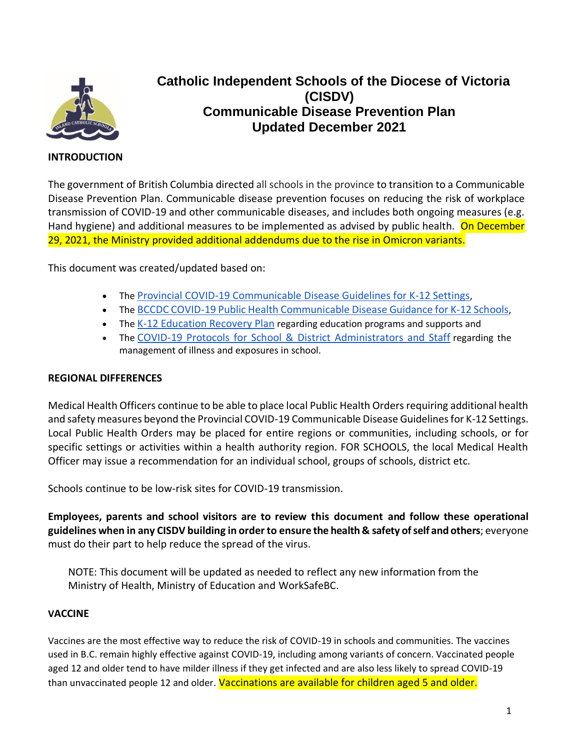

# **Catholic Independent Schools of the Diocese of Victoria (CISDV) Communicable Disease Prevention Plan Updated December 2021**

# **INTRODUCTION**

The government of British Columbia directed all schools in the province to transition to a Communicable Disease Prevention Plan. Communicable disease prevention focuses on reducing the risk of workplace transmission of COVID-19 and other communicable diseases, and includes both ongoing measures (e.g. Hand hygiene) and additional measures to be implemented as advised by public health. On December 29, 2021, the Ministry provided additional addendums due to the rise in Omicron variants.

This document was created/updated based on:

- The [Provincial COVID-19 Communicable Disease Guidelines for K-12 Settings](https://www2.gov.bc.ca/assets/gov/education/administration/kindergarten-to-grade-12/safe-caring-orderly/k-12-covid-19-health-safety-guidlines.pdf),
- The [BCCDC COVID-19 Public Health Communicable Disease Guidance for K-12 Schools](http://www.bccdc.ca/Health-Info-Site/Documents/COVID_public_guidance/Guidance-k-12-schools.pdf),
- The [K-12 Education Recovery Plan](https://www2.gov.bc.ca/assets/gov/education/administration/kindergarten-to-grade-12/safe-caring-orderly/k-12-education-recovery-plan.pdf) regarding education programs and supports and
- The [COVID-19 Protocols for School & District Administrators and Staff](https://www2.gov.bc.ca/assets/gov/education/administration/kindergarten-to-grade-12/safe-caring-orderly/covid-19-protocols-for-administrators.pdf) regarding the management of illness and exposures in school.

# **REGIONAL DIFFERENCES**

Medical Health Officers continue to be able to place local Public Health Orders requiring additional health and safety measures beyond the Provincial COVID-19 Communicable Disease Guidelines for K-12 Settings. Local Public Health Orders may be placed for entire regions or communities, including schools, or for specific settings or activities within a health authority region. FOR SCHOOLS, the local Medical Health Officer may issue a recommendation for an individual school, groups of schools, district etc.

Schools continue to be low-risk sites for COVID-19 transmission.

**Employees, parents and school visitors are to review this document and follow these operational guidelines when in any CISDV building in order to ensure the health & safety of self and others**; everyone must do their part to help reduce the spread of the virus.

NOTE: This document will be updated as needed to reflect any new information from the Ministry of Health, Ministry of Education and WorkSafeBC.

#### **VACCINE**

Vaccines are the most effective way to reduce the risk of COVID-19 in schools and communities. The vaccines used in B.C. remain highly effective against COVID-19, including among variants of concern. Vaccinated people aged 12 and older tend to have milder illness if they get infected and are also less likely to spread COVID-19 than unvaccinated people 12 and older. Vaccinations are available for children aged 5 and older.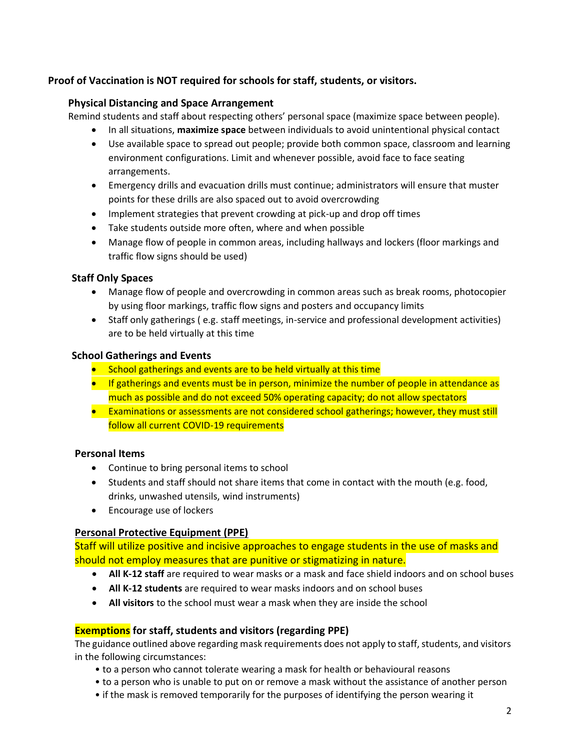# **Proof of Vaccination is NOT required for schools for staff, students, or visitors.**

## **Physical Distancing and Space Arrangement**

Remind students and staff about respecting others' personal space (maximize space between people).

- In all situations, **maximize space** between individuals to avoid unintentional physical contact
- Use available space to spread out people; provide both common space, classroom and learning environment configurations. Limit and whenever possible, avoid face to face seating arrangements.
- Emergency drills and evacuation drills must continue; administrators will ensure that muster points for these drills are also spaced out to avoid overcrowding
- Implement strategies that prevent crowding at pick-up and drop off times
- Take students outside more often, where and when possible
- Manage flow of people in common areas, including hallways and lockers (floor markings and traffic flow signs should be used)

## **Staff Only Spaces**

- Manage flow of people and overcrowding in common areas such as break rooms, photocopier by using floor markings, traffic flow signs and posters and occupancy limits
- Staff only gatherings ( e.g. staff meetings, in-service and professional development activities) are to be held virtually at this time

## **School Gatherings and Events**

- School gatherings and events are to be held virtually at this time
- If gatherings and events must be in person, minimize the number of people in attendance as much as possible and do not exceed 50% operating capacity; do not allow spectators
- Examinations or assessments are not considered school gatherings; however, they must still follow all current COVID-19 requirements

#### **Personal Items**

- Continue to bring personal items to school
- Students and staff should not share items that come in contact with the mouth (e.g. food, drinks, unwashed utensils, wind instruments)
- Encourage use of lockers

# **Personal Protective Equipment (PPE)**

Staff will utilize positive and incisive approaches to engage students in the use of masks and should not employ measures that are punitive or stigmatizing in nature.

- **All K-12 staff** are required to wear masks or a mask and face shield indoors and on school buses
- **All K-12 students** are required to wear masks indoors and on school buses
- **All visitors** to the school must wear a mask when they are inside the school

# **Exemptions for staff, students and visitors (regarding PPE)**

The guidance outlined above regarding mask requirements does not apply to staff, students, and visitors in the following circumstances:

- to a person who cannot tolerate wearing a mask for health or behavioural reasons
- to a person who is unable to put on or remove a mask without the assistance of another person
- if the mask is removed temporarily for the purposes of identifying the person wearing it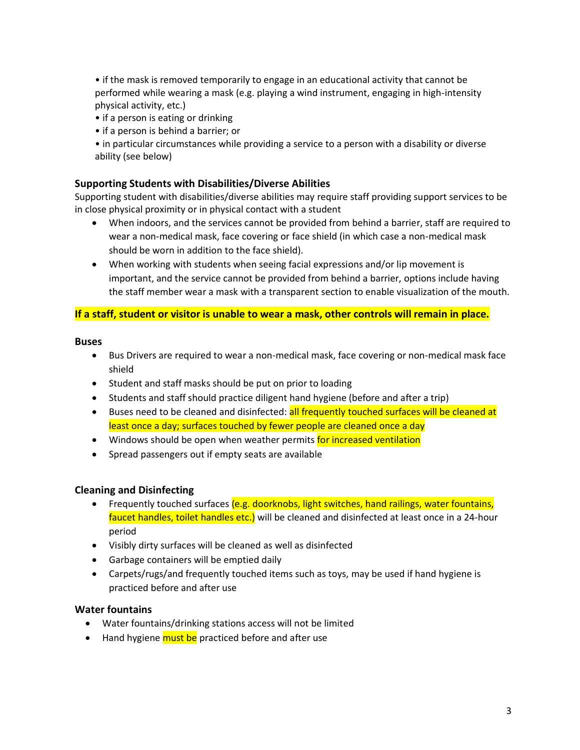• if the mask is removed temporarily to engage in an educational activity that cannot be performed while wearing a mask (e.g. playing a wind instrument, engaging in high-intensity physical activity, etc.)

- if a person is eating or drinking
- if a person is behind a barrier; or

• in particular circumstances while providing a service to a person with a disability or diverse ability (see below)

## **Supporting Students with Disabilities/Diverse Abilities**

Supporting student with disabilities/diverse abilities may require staff providing support services to be in close physical proximity or in physical contact with a student

- When indoors, and the services cannot be provided from behind a barrier, staff are required to wear a non-medical mask, face covering or face shield (in which case a non-medical mask should be worn in addition to the face shield).
- When working with students when seeing facial expressions and/or lip movement is important, and the service cannot be provided from behind a barrier, options include having the staff member wear a mask with a transparent section to enable visualization of the mouth.

#### **If a staff, student or visitor is unable to wear a mask, other controls will remain in place.**

#### **Buses**

- Bus Drivers are required to wear a non-medical mask, face covering or non-medical mask face shield
- Student and staff masks should be put on prior to loading
- Students and staff should practice diligent hand hygiene (before and after a trip)
- Buses need to be cleaned and disinfected: all frequently touched surfaces will be cleaned at least once a day; surfaces touched by fewer people are cleaned once a day
- Windows should be open when weather permits for increased ventilation
- Spread passengers out if empty seats are available

# **Cleaning and Disinfecting**

- Frequently touched surfaces (e.g. doorknobs, light switches, hand railings, water fountains, faucet handles, toilet handles etc.) will be cleaned and disinfected at least once in a 24-hour period
- Visibly dirty surfaces will be cleaned as well as disinfected
- Garbage containers will be emptied daily
- Carpets/rugs/and frequently touched items such as toys, may be used if hand hygiene is practiced before and after use

#### **Water fountains**

- Water fountains/drinking stations access will not be limited
- Hand hygiene must be practiced before and after use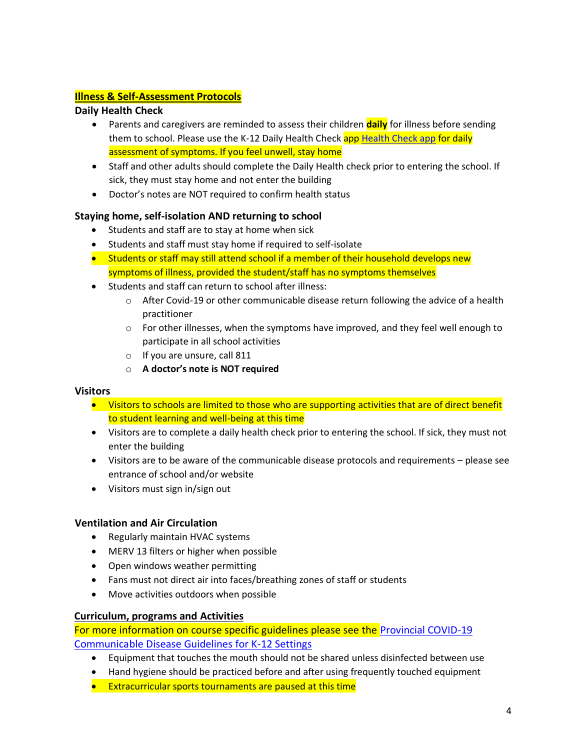# **Illness & Self-Assessment Protocols**

# **Daily Health Check**

- Parents and caregivers are reminded to assess their children **daily** for illness before sending them to school. Please use the K-12 Daily [Health Check app](https://www.k12dailycheck.gov.bc.ca/) Health Check app for daily assessment of symptoms. If you feel unwell, stay home
- Staff and other adults should complete the Daily Health check prior to entering the school. If sick, they must stay home and not enter the building
- Doctor's notes are NOT required to confirm health status

# **Staying home, self-isolation AND returning to school**

- Students and staff are to stay at home when sick
- Students and staff must stay home if required to self-isolate
- Students or staff may still attend school if a member of their household develops new symptoms of illness, provided the student/staff has no symptoms themselves
- Students and staff can return to school after illness:
	- o After Covid-19 or other communicable disease return following the advice of a health practitioner
	- $\circ$  For other illnesses, when the symptoms have improved, and they feel well enough to participate in all school activities
	- o If you are unsure, call 811
	- o **A doctor's note is NOT required**

# **Visitors**

- Visitors to schools are limited to those who are supporting activities that are of direct benefit to student learning and well-being at this time
- Visitors are to complete a daily health check prior to entering the school. If sick, they must not enter the building
- Visitors are to be aware of the communicable disease protocols and requirements please see entrance of school and/or website
- Visitors must sign in/sign out

# **Ventilation and Air Circulation**

- Regularly maintain HVAC systems
- MERV 13 filters or higher when possible
- Open windows weather permitting
- Fans must not direct air into faces/breathing zones of staff or students
- Move activities outdoors when possible

# **Curriculum, programs and Activities**

For more information on course specific guidelines please see the [Provincial COVID-19](https://www2.gov.bc.ca/assets/gov/education/administration/kindergarten-to-grade-12/safe-caring-orderly/k-12-covid-19-health-safety-guidlines.pdf)  [Communicable Disease Guidelines for K-12 Settings](https://www2.gov.bc.ca/assets/gov/education/administration/kindergarten-to-grade-12/safe-caring-orderly/k-12-covid-19-health-safety-guidlines.pdf)

- Equipment that touches the mouth should not be shared unless disinfected between use
- Hand hygiene should be practiced before and after using frequently touched equipment
- Extracurricular sports tournaments are paused at this time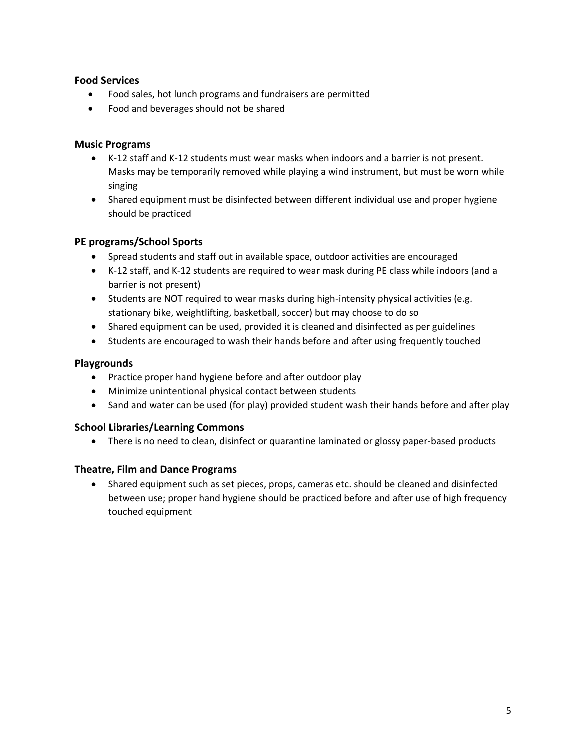# **Food Services**

- Food sales, hot lunch programs and fundraisers are permitted
- Food and beverages should not be shared

# **Music Programs**

- K-12 staff and K-12 students must wear masks when indoors and a barrier is not present. Masks may be temporarily removed while playing a wind instrument, but must be worn while singing
- Shared equipment must be disinfected between different individual use and proper hygiene should be practiced

# **PE programs/School Sports**

- Spread students and staff out in available space, outdoor activities are encouraged
- K-12 staff, and K-12 students are required to wear mask during PE class while indoors (and a barrier is not present)
- Students are NOT required to wear masks during high-intensity physical activities (e.g. stationary bike, weightlifting, basketball, soccer) but may choose to do so
- Shared equipment can be used, provided it is cleaned and disinfected as per guidelines
- Students are encouraged to wash their hands before and after using frequently touched

## **Playgrounds**

- Practice proper hand hygiene before and after outdoor play
- Minimize unintentional physical contact between students
- Sand and water can be used (for play) provided student wash their hands before and after play

# **School Libraries/Learning Commons**

• There is no need to clean, disinfect or quarantine laminated or glossy paper-based products

# **Theatre, Film and Dance Programs**

• Shared equipment such as set pieces, props, cameras etc. should be cleaned and disinfected between use; proper hand hygiene should be practiced before and after use of high frequency touched equipment